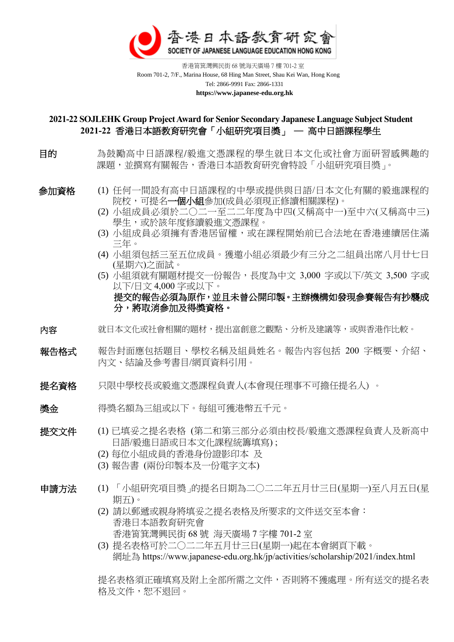

 香港筲箕灣興民街 68 號海天廣場 7 樓 701-2 室 Room 701-2, 7/F., Marina House, 68 Hing Man Street, Shau Kei Wan, Hong Kong Tel: 2866-9991 Fax: 2866-1331  **https://www.japanese-edu.org.hk**

#### **2021-22 SOJLEHK Group Project Award for Senior Secondary Japanese Language Subject Student 2021-22** 香港日本語教育研究會「小組研究項目獎」 ─ 高中日語課程學生

目的 為鼓勵高中日語課程/毅進文憑課程的學生就日本文化或社會方面研習感興趣的 課題,並撰寫有關報告,香港日本語教育研究會特設「小組研究項目獎」。

- 
- 參加資格 (1) 任何一間設有高中日語課程的中學或提供與日語/日本文化有關的毅進課程的 院校,可提名**一個小組**參加(成員必須現正修讀相關課程)。
	- (2) 小組成員必須於二○二一至二二年度為中四(又稱高中一)至中六(又稱高中三) 學生,或於該年度修讀毅進文憑課程。
	- (3) 小組成員必須擁有香港居留權,或在課程開始前已合法地在香港連續居住滿 三年。
	- (4) 小組須包括三至五位成員。獲邀小組必須最少有三分之二組員出席八月廿七日 (星期六)之面試。
	- (5) 小組須就有關題材提交一份報告,長度為中文 3,000 字或以下/英文 3,500 字或 以下/日文 4,000 字或以下。 提交的報告必須為原作,並且未曾公開印製。主辦機構如發現參賽報告有抄襲成 分,將取消參加及得獎資格。
- 内容 有效日本文化或社會相關的題材,提出富創意之觀點、分析及建議等,或與香港作比較。
- 報告格式 報告封面應包括題目、學校名稱及組員姓名。報告內容包括 200 字概要、介紹、 內文、結論及參考書目/網頁資料引用。
- 提名資格 只限中學校長或毅進文憑課程負責人(本會現任理事不可擔任提名人) 。
- 獎金 得獎名額為三組或以下。每組可獲港幣五千元。

- 提交文件 (1) 已填妥之提名表格 (第二和第三部分必須由校長/毅進文憑課程負責人及新高中 日語/毅進日語或日本文化課程統籌填寫) ;
	- (2) 每位小組成員的香港身份證影印本 及
	- (3) 報告書 (兩份印製本及一份電字文本)

- 申請方法 (1) 「小組研究項目獎」的提名日期為二○二二年五月廿三日(星期一)至八月五日(星 期五)。
	- (2) 請以郵遞或親身將填妥之提名表格及所要求的文件送交至本會: 香港日本語教育研究會 香港筲箕灣興民街 68 號 海天廣場 7 字樓 701-2 室
	- (3) 提名表格可於二○二二年五月廿三日(星期一)起在本會網頁下載。 網址為 https://www.japanese-edu.org.hk/jp/activities/scholarship/2021/index.html

提名表格須正確填寫及附上全部所需之文件,否則將不獲處理。所有送交的提名表 格及文件,恕不退回。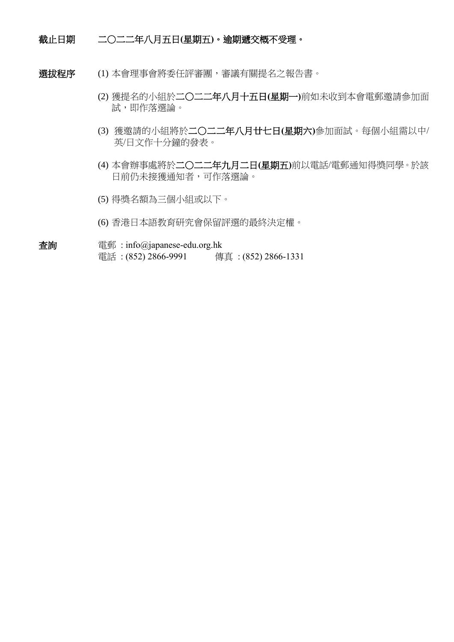#### 截止日期 二○二二年八月五日**(**星期五**)**。逾期遞交概不受理。

- 選拔程序 (1) 本會理事會將委任評審團,審議有關提名之報告書。
	- (2) 獲提名的小組於二○二二年八月十五日**(**星期一**)**前如未收到本會電郵邀請參加面 試,即作落選論。
	- (3) 獲邀請的小組將於二○二二年八月廿七日**(**星期六**)**參加面試。每個小組需以中/ 英/日文作十分鐘的發表。
	- (4) 本會辦事處將於二○二二年九月二日**(**星期五**)**前以電話/電郵通知得獎同學。於該 日前仍未接獲通知者,可作落選論。
	- (5) 得獎名額為三個小組或以下。
	- (6) 香港日本語教育研究會保留評選的最終決定權。
- 查詢 電郵 : [info@japanese-edu.org.hk](mailto:info@japanese-edu.org.hk) 電話: (852) 2866-9991 傳真: (852) 2866-1331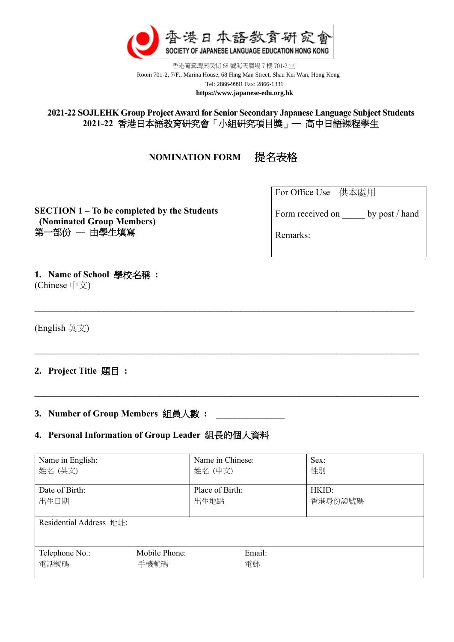

香港筲箕灣興民街 68 號海天廣場 7 樓 701-2 室 Room 701-2, 7/F., Marina House, 68 Hing Man Street, Shau Kei Wan, Hong Kong Tel: 2866-9991 Fax: 2866-1331  **https://www.japanese-edu.org.hk**

**2021-22 SOJLEHK Group Project Award for Senior Secondary Japanese Language Subject Students 2021-22** 香港日本語教育研究會「小組研究項目獎」─ 高中日語課程學生

**NOMINATION FORM** 提名表格

For Office Use 供本處用

**SECTION 1 – To be completed by the Students (Nominated Group Members)** 第一部份 一 由學生填寫

| Form received on | by post / hand |
|------------------|----------------|
|------------------|----------------|

Remarks:

**1. Name of School** 學校名稱 **:**  (Chinese 中文)

(English 英文)

# **2. Project Title** 題目 **:**

# **3. Number of Group Members** 組員人數 **: \_\_\_\_\_\_\_\_\_\_\_\_\_\_\_**

# **4. Personal Information of Group Leader** 組長的個人資料

| Name in English:        |               | Name in Chinese: | Sex:    |
|-------------------------|---------------|------------------|---------|
| 姓名 (英文)                 |               | 姓名 (中文)          | 性別      |
| Date of Birth:          |               | Place of Birth:  | HKID:   |
| 出生日期                    |               | 出生地點             | 香港身份證號碼 |
| Residential Address 地址: |               |                  |         |
| Telephone No.:          | Mobile Phone: | Email:           |         |
| 電話號碼                    | 手機號碼          | 電郵               |         |

**\_\_\_\_\_\_\_\_\_\_\_\_\_\_\_\_\_\_\_\_\_\_\_\_\_\_\_\_\_\_\_\_\_\_\_\_\_\_\_\_\_\_\_\_\_\_\_\_\_\_\_\_\_\_\_\_\_\_\_\_\_\_\_\_\_\_\_\_\_\_\_\_\_\_\_\_\_\_\_\_\_\_\_\_**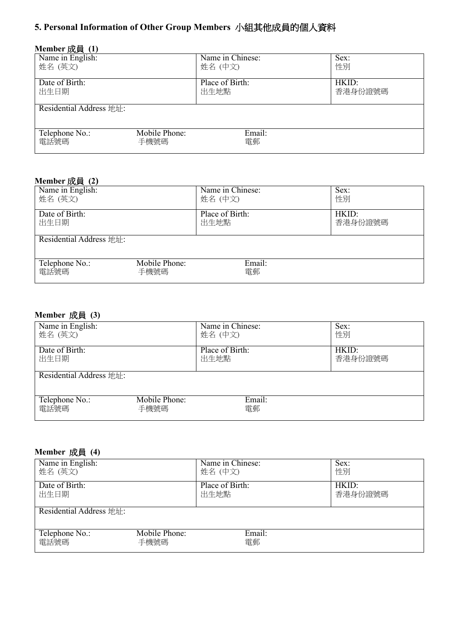# **5. Personal Information of Other Group Members** 小組其他成員的個人資料

| Member 成員 (1)                       |               |                  |         |
|-------------------------------------|---------------|------------------|---------|
| Name in English:                    |               | Name in Chinese: | Sex:    |
| 姓名 (英文)                             |               | 姓名(中文)           | 性別      |
| Date of Birth:                      |               | Place of Birth:  | HKID:   |
| 出生日期                                |               | 出生地點             | 香港身份證號碼 |
|                                     |               |                  |         |
| Residential Address 地址:             |               |                  |         |
|                                     |               |                  |         |
| Telephone $\overline{\text{No}}$ .: | Mobile Phone: | Email:           |         |
| 電話號碼                                | 手機號碼          | 電郵               |         |
|                                     |               |                  |         |

### **Member** 成員 **(2)**

| Name in English:        |               | Name in Chinese: | Sex:    |
|-------------------------|---------------|------------------|---------|
| 姓名 (英文)                 |               | 姓名 (中文)          | 性別      |
| Date of Birth:          |               | Place of Birth:  | HKID:   |
| 出生日期                    |               | 出生地點             | 香港身份證號碼 |
| Residential Address 地址: |               |                  |         |
| Telephone No.:          | Mobile Phone: | Email:           |         |
| 電話號碼                    | 手機號碼          | 電郵               |         |

# **Member** 成員 **(3)**

| Name in English:        |               | Name in Chinese: | Sex:    |
|-------------------------|---------------|------------------|---------|
| 姓名 (英文)                 |               | 姓名 (中文)          | 性別      |
| Date of Birth:          |               | Place of Birth:  | HKID:   |
| 出生日期                    |               | 出生地點             | 香港身份證號碼 |
| Residential Address 地址: |               |                  |         |
| Telephone No.:          | Mobile Phone: | Email:           |         |
| 電話號碼                    | 手機號碼          | 電郵               |         |

# **Member** 成員 **(4)**

| Name in English:        |               | Name in Chinese: | Sex:    |
|-------------------------|---------------|------------------|---------|
| 姓名 (英文)                 |               | 姓名 (中文)          | 性別      |
| Date of Birth:          |               | Place of Birth:  | HKID:   |
| 出生日期                    |               | 出生地點             | 香港身份證號碼 |
| Residential Address 地址: |               |                  |         |
| Telephone $No.$ :       | Mobile Phone: | Email:           |         |
| 電話號碼                    | 手機號碼          | 電郵               |         |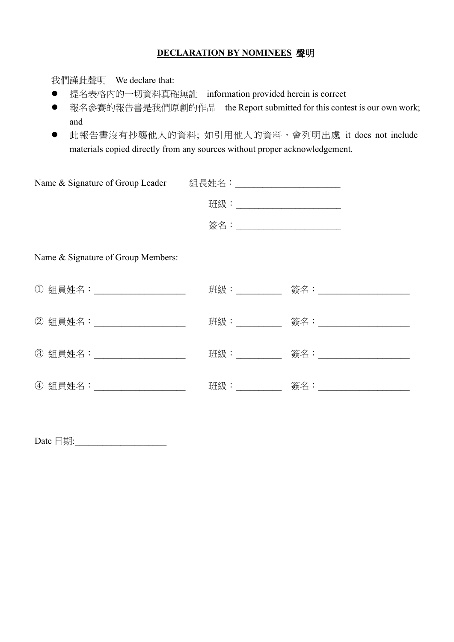### **DECLARATION BY NOMINEES** 聲明

我們謹此聲明 We declare that:

- ⚫ 提名表格內的一切資料真確無訛 information provided herein is correct
- 報名參賽的報告書是我們原創的作品 the Report submitted for this contest is our own work; and
- 此報告書沒有抄襲他人的資料; 如引用他人的資料,會列明出處 it does not include materials copied directly from any sources without proper acknowledgement.

| Name & Signature of Group Leader 組長姓名: |                                |  |
|----------------------------------------|--------------------------------|--|
|                                        | 班級:___________________________ |  |
|                                        | 簽名:__________________________  |  |
| Name & Signature of Group Members:     |                                |  |
| ① 組員姓名:_____________________           |                                |  |
| ② 組員姓名:____________________            |                                |  |
| 3 組員姓名: _________________              |                                |  |
| ④ 組員姓名:______________________          |                                |  |

Date  $\Box$  期: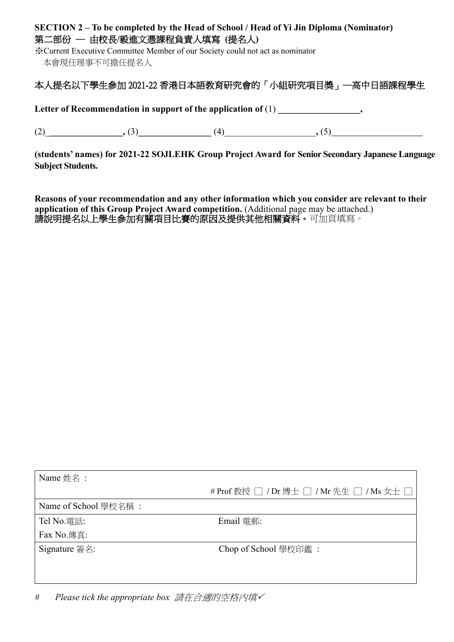# **SECTION 2 – To be completed by the Head of School / Head of Yi Jin Diploma (Nominator)** 第二部份 ─ 由校長**/**毅進文憑課程負責人填寫 **(**提名人**)**

※Current Executive Committee Member of our Society could not act as nominator 本會現任理事不可擔任提名人

# 本人提名以下學生參加 2021-22 香港日本語教育研究會的「小組研究項目獎」─高中日語課程學生

Letter of Recommendation in support of the application of  $(1)$ ,

(2)\_**\_\_\_\_\_\_\_\_\_\_\_\_\_\_\_\_,** (3)**\_\_\_\_\_\_\_\_\_\_\_\_\_\_\_\_** (4)\_\_\_\_\_\_\_\_\_\_\_\_\_\_\_\_\_\_\_\_**,** (5)

**(students' names) for 2021-22 SOJLEHK Group Project Award for Senior Secondary Japanese Language Subject Students.**

**Reasons of your recommendation and any other information which you consider are relevant to their application of this Group Project Award competition.** (Additional page may be attached.) 請說明提名以上學生參加有關項目比賽的原因及提供其他相關資料。可加頁填寫。

| Name 姓名:             |                                           |
|----------------------|-------------------------------------------|
|                      | # Prof 教授 □ / Dr 博士 □ / Mr 先生 □ / Ms 女士 □ |
| Name of School 學校名稱: |                                           |
| Tel No.電話:           | Email 電郵:                                 |
| Fax No.傳真:           |                                           |
| Signature 簽名:        | Chop of School 學校印鑑:                      |
|                      |                                           |
|                      |                                           |

*# Please tick the appropriate box* 請在合適的空格內填